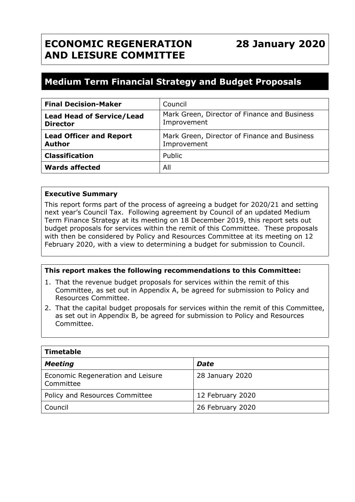## **ECONOMIC REGENERATION AND LEISURE COMMITTEE**

### **Medium Term Financial Strategy and Budget Proposals**

| <b>Final Decision-Maker</b>                         | Council                                                     |  |
|-----------------------------------------------------|-------------------------------------------------------------|--|
| <b>Lead Head of Service/Lead</b><br><b>Director</b> | Mark Green, Director of Finance and Business<br>Improvement |  |
| <b>Lead Officer and Report</b><br><b>Author</b>     | Mark Green, Director of Finance and Business<br>Improvement |  |
| <b>Classification</b>                               | Public                                                      |  |
| <b>Wards affected</b>                               | All                                                         |  |

#### **Executive Summary**

This report forms part of the process of agreeing a budget for 2020/21 and setting next year's Council Tax. Following agreement by Council of an updated Medium Term Finance Strategy at its meeting on 18 December 2019, this report sets out budget proposals for services within the remit of this Committee. These proposals with then be considered by Policy and Resources Committee at its meeting on 12 February 2020, with a view to determining a budget for submission to Council.

#### **This report makes the following recommendations to this Committee:**

- 1. That the revenue budget proposals for services within the remit of this Committee, as set out in Appendix A, be agreed for submission to Policy and Resources Committee.
- 2. That the capital budget proposals for services within the remit of this Committee, as set out in Appendix B, be agreed for submission to Policy and Resources Committee.

| <b>Timetable</b>                               |                  |  |  |
|------------------------------------------------|------------------|--|--|
| <b>Meeting</b>                                 | <b>Date</b>      |  |  |
| Economic Regeneration and Leisure<br>Committee | 28 January 2020  |  |  |
| Policy and Resources Committee                 | 12 February 2020 |  |  |
| Council                                        | 26 February 2020 |  |  |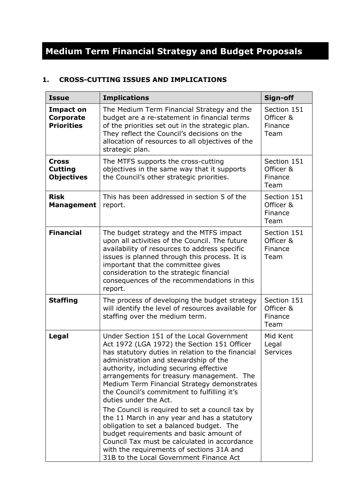# **Medium Term Financial Strategy and Budget Proposals**

#### **1. CROSS-CUTTING ISSUES AND IMPLICATIONS**

| <b>Issue</b>                                        | <b>Implications</b>                                                                                                                                                                                                                                                                                                                                                                                                                                                                                                                                                                                                                                                                                                                     | Sign-off                                    |
|-----------------------------------------------------|-----------------------------------------------------------------------------------------------------------------------------------------------------------------------------------------------------------------------------------------------------------------------------------------------------------------------------------------------------------------------------------------------------------------------------------------------------------------------------------------------------------------------------------------------------------------------------------------------------------------------------------------------------------------------------------------------------------------------------------------|---------------------------------------------|
| <b>Impact on</b><br>Corporate<br><b>Priorities</b>  | The Medium Term Financial Strategy and the<br>budget are a re-statement in financial terms<br>of the priorities set out in the strategic plan.<br>They reflect the Council's decisions on the<br>allocation of resources to all objectives of the<br>strategic plan.                                                                                                                                                                                                                                                                                                                                                                                                                                                                    | Section 151<br>Officer &<br>Finance<br>Team |
| <b>Cross</b><br><b>Cutting</b><br><b>Objectives</b> | The MTFS supports the cross-cutting<br>objectives in the same way that it supports<br>the Council's other strategic priorities.                                                                                                                                                                                                                                                                                                                                                                                                                                                                                                                                                                                                         | Section 151<br>Officer &<br>Finance<br>Team |
| <b>Risk</b><br><b>Management</b>                    | This has been addressed in section 5 of the<br>report.                                                                                                                                                                                                                                                                                                                                                                                                                                                                                                                                                                                                                                                                                  | Section 151<br>Officer &<br>Finance<br>Team |
| <b>Financial</b>                                    | The budget strategy and the MTFS impact<br>upon all activities of the Council. The future<br>availability of resources to address specific<br>issues is planned through this process. It is<br>important that the committee gives<br>consideration to the strategic financial<br>consequences of the recommendations in this<br>report.                                                                                                                                                                                                                                                                                                                                                                                                 | Section 151<br>Officer &<br>Finance<br>Team |
| <b>Staffing</b>                                     | The process of developing the budget strategy<br>will identify the level of resources available for<br>staffing over the medium term.                                                                                                                                                                                                                                                                                                                                                                                                                                                                                                                                                                                                   | Section 151<br>Officer &<br>Finance<br>Team |
| Legal                                               | Under Section 151 of the Local Government<br>Act 1972 (LGA 1972) the Section 151 Officer<br>has statutory duties in relation to the financial<br>administration and stewardship of the<br>authority, including securing effective<br>arrangements for treasury management. The<br>Medium Term Financial Strategy demonstrates<br>the Council's commitment to fulfilling it's<br>duties under the Act.<br>The Council is required to set a council tax by<br>the 11 March in any year and has a statutory<br>obligation to set a balanced budget. The<br>budget requirements and basic amount of<br>Council Tax must be calculated in accordance<br>with the requirements of sections 31A and<br>31B to the Local Government Finance Act | Mid Kent<br>Legal<br><b>Services</b>        |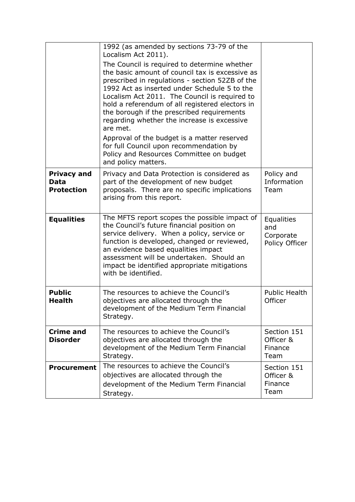|                                                 | 1992 (as amended by sections 73-79 of the<br>Localism Act 2011).                                                                                                                                                                                                                                                                                                                                                                                                                                                                                                             |                                                  |
|-------------------------------------------------|------------------------------------------------------------------------------------------------------------------------------------------------------------------------------------------------------------------------------------------------------------------------------------------------------------------------------------------------------------------------------------------------------------------------------------------------------------------------------------------------------------------------------------------------------------------------------|--------------------------------------------------|
|                                                 | The Council is required to determine whether<br>the basic amount of council tax is excessive as<br>prescribed in regulations - section 52ZB of the<br>1992 Act as inserted under Schedule 5 to the<br>Localism Act 2011. The Council is required to<br>hold a referendum of all registered electors in<br>the borough if the prescribed requirements<br>regarding whether the increase is excessive<br>are met.<br>Approval of the budget is a matter reserved<br>for full Council upon recommendation by<br>Policy and Resources Committee on budget<br>and policy matters. |                                                  |
| <b>Privacy and</b><br>Data<br><b>Protection</b> | Privacy and Data Protection is considered as<br>part of the development of new budget<br>proposals. There are no specific implications<br>arising from this report.                                                                                                                                                                                                                                                                                                                                                                                                          | Policy and<br>Information<br>Team                |
| <b>Equalities</b>                               | The MFTS report scopes the possible impact of<br>the Council's future financial position on<br>service delivery. When a policy, service or<br>function is developed, changed or reviewed,<br>an evidence based equalities impact<br>assessment will be undertaken. Should an<br>impact be identified appropriate mitigations<br>with be identified.                                                                                                                                                                                                                          | Equalities<br>and<br>Corporate<br>Policy Officer |
| <b>Public</b><br><b>Health</b>                  | The resources to achieve the Council's<br>objectives are allocated through the<br>development of the Medium Term Financial<br>Strategy.                                                                                                                                                                                                                                                                                                                                                                                                                                      | <b>Public Health</b><br>Officer                  |
| <b>Crime and</b><br><b>Disorder</b>             | The resources to achieve the Council's<br>objectives are allocated through the<br>development of the Medium Term Financial<br>Strategy.                                                                                                                                                                                                                                                                                                                                                                                                                                      | Section 151<br>Officer &<br>Finance<br>Team      |
| <b>Procurement</b>                              | The resources to achieve the Council's<br>objectives are allocated through the<br>development of the Medium Term Financial<br>Strategy.                                                                                                                                                                                                                                                                                                                                                                                                                                      | Section 151<br>Officer &<br>Finance<br>Team      |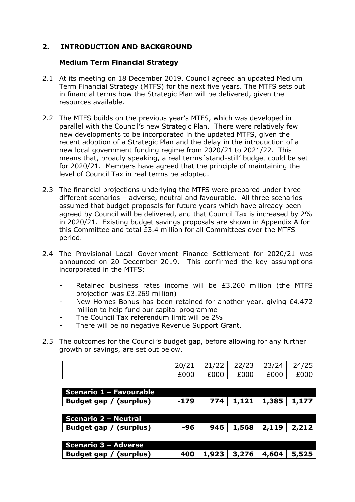#### **2. INTRODUCTION AND BACKGROUND**

#### **Medium Term Financial Strategy**

- 2.1 At its meeting on 18 December 2019, Council agreed an updated Medium Term Financial Strategy (MTFS) for the next five years. The MTFS sets out in financial terms how the Strategic Plan will be delivered, given the resources available.
- 2.2 The MTFS builds on the previous year's MTFS, which was developed in parallel with the Council's new Strategic Plan. There were relatively few new developments to be incorporated in the updated MTFS, given the recent adoption of a Strategic Plan and the delay in the introduction of a new local government funding regime from 2020/21 to 2021/22. This means that, broadly speaking, a real terms 'stand-still' budget could be set for 2020/21. Members have agreed that the principle of maintaining the level of Council Tax in real terms be adopted.
- 2.3 The financial projections underlying the MTFS were prepared under three different scenarios – adverse, neutral and favourable. All three scenarios assumed that budget proposals for future years which have already been agreed by Council will be delivered, and that Council Tax is increased by 2% in 2020/21. Existing budget savings proposals are shown in Appendix A for this Committee and total  $£3.4$  million for all Committees over the MTFS period.
- 2.4 The Provisional Local Government Finance Settlement for 2020/21 was announced on 20 December 2019. This confirmed the key assumptions incorporated in the MTFS:
	- Retained business rates income will be £3.260 million (the MTFS projection was £3.269 million)
	- New Homes Bonus has been retained for another year, giving £4.472 million to help fund our capital programme
	- The Council Tax referendum limit will be 2%
	- There will be no negative Revenue Support Grant.
- 2.5 The outcomes for the Council's budget gap, before allowing for any further growth or savings, are set out below.

|      | $20/21$   21/22   22/23   23/24   24/25 |             |      |
|------|-----------------------------------------|-------------|------|
| £000 | £000 l                                  | £000   £000 | £000 |

| Scenario 1 - Favourable     |        |       |       |       |       |
|-----------------------------|--------|-------|-------|-------|-------|
| Budget gap / (surplus)      | $-179$ | 774   | 1,121 | 1,385 | 1,177 |
|                             |        |       |       |       |       |
| <b>Scenario 2 - Neutral</b> |        |       |       |       |       |
| Budget gap / (surplus)      | -96    | 946   | 1,568 | 2,119 | 2,212 |
|                             |        |       |       |       |       |
| Scenario 3 - Adverse        |        |       |       |       |       |
| Budget gap / (surplus)      | 400    | 1,923 | 3,276 | 4,604 | 5,525 |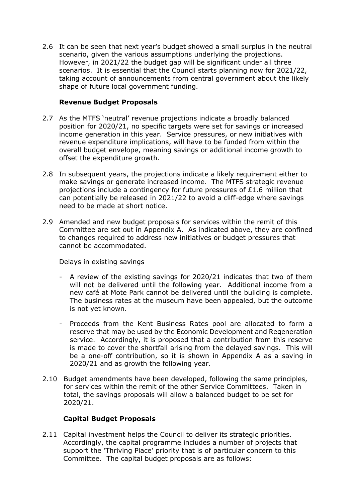2.6 It can be seen that next year's budget showed a small surplus in the neutral scenario, given the various assumptions underlying the projections. However, in 2021/22 the budget gap will be significant under all three scenarios. It is essential that the Council starts planning now for 2021/22, taking account of announcements from central government about the likely shape of future local government funding.

#### **Revenue Budget Proposals**

- 2.7 As the MTFS 'neutral' revenue projections indicate a broadly balanced position for 2020/21, no specific targets were set for savings or increased income generation in this year. Service pressures, or new initiatives with revenue expenditure implications, will have to be funded from within the overall budget envelope, meaning savings or additional income growth to offset the expenditure growth.
- 2.8 In subsequent years, the projections indicate a likely requirement either to make savings or generate increased income. The MTFS strategic revenue projections include a contingency for future pressures of £1.6 million that can potentially be released in 2021/22 to avoid a cliff-edge where savings need to be made at short notice.
- 2.9 Amended and new budget proposals for services within the remit of this Committee are set out in Appendix A. As indicated above, they are confined to changes required to address new initiatives or budget pressures that cannot be accommodated.

Delays in existing savings

- A review of the existing savings for 2020/21 indicates that two of them will not be delivered until the following year. Additional income from a new café at Mote Park cannot be delivered until the building is complete. The business rates at the museum have been appealed, but the outcome is not yet known.
- Proceeds from the Kent Business Rates pool are allocated to form a reserve that may be used by the Economic Development and Regeneration service. Accordingly, it is proposed that a contribution from this reserve is made to cover the shortfall arising from the delayed savings. This will be a one-off contribution, so it is shown in Appendix A as a saving in 2020/21 and as growth the following year.
- 2.10 Budget amendments have been developed, following the same principles, for services within the remit of the other Service Committees. Taken in total, the savings proposals will allow a balanced budget to be set for 2020/21.

#### **Capital Budget Proposals**

2.11 Capital investment helps the Council to deliver its strategic priorities. Accordingly, the capital programme includes a number of projects that support the 'Thriving Place' priority that is of particular concern to this Committee. The capital budget proposals are as follows: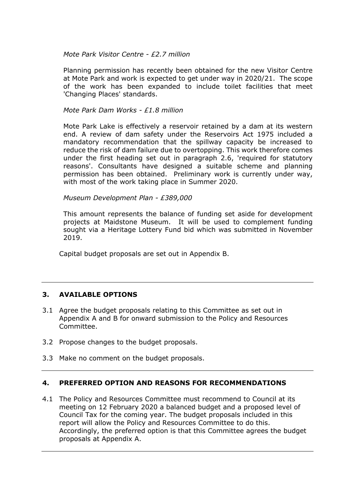#### *Mote Park Visitor Centre - £2.7 million*

Planning permission has recently been obtained for the new Visitor Centre at Mote Park and work is expected to get under way in 2020/21. The scope of the work has been expanded to include toilet facilities that meet 'Changing Places' standards.

#### *Mote Park Dam Works - £1.8 million*

Mote Park Lake is effectively a reservoir retained by a dam at its western end. A review of dam safety under the Reservoirs Act 1975 included a mandatory recommendation that the spillway capacity be increased to reduce the risk of dam failure due to overtopping. This work therefore comes under the first heading set out in paragraph 2.6, 'required for statutory reasons'. Consultants have designed a suitable scheme and planning permission has been obtained. Preliminary work is currently under way, with most of the work taking place in Summer 2020.

*Museum Development Plan - £389,000*

This amount represents the balance of funding set aside for development projects at Maidstone Museum. It will be used to complement funding sought via a Heritage Lottery Fund bid which was submitted in November 2019.

Capital budget proposals are set out in Appendix B.

#### **3. AVAILABLE OPTIONS**

- 3.1 Agree the budget proposals relating to this Committee as set out in Appendix A and B for onward submission to the Policy and Resources Committee.
- 3.2 Propose changes to the budget proposals.
- 3.3 Make no comment on the budget proposals.

#### **4. PREFERRED OPTION AND REASONS FOR RECOMMENDATIONS**

4.1 The Policy and Resources Committee must recommend to Council at its meeting on 12 February 2020 a balanced budget and a proposed level of Council Tax for the coming year. The budget proposals included in this report will allow the Policy and Resources Committee to do this. Accordingly, the preferred option is that this Committee agrees the budget proposals at Appendix A.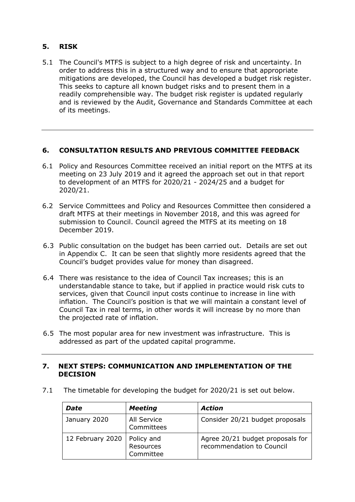#### **5. RISK**

5.1 The Council's MTFS is subject to a high degree of risk and uncertainty. In order to address this in a structured way and to ensure that appropriate mitigations are developed, the Council has developed a budget risk register. This seeks to capture all known budget risks and to present them in a readily comprehensible way. The budget risk register is updated regularly and is reviewed by the Audit, Governance and Standards Committee at each of its meetings.

#### **6. CONSULTATION RESULTS AND PREVIOUS COMMITTEE FEEDBACK**

- 6.1 Policy and Resources Committee received an initial report on the MTFS at its meeting on 23 July 2019 and it agreed the approach set out in that report to development of an MTFS for 2020/21 - 2024/25 and a budget for 2020/21.
- 6.2 Service Committees and Policy and Resources Committee then considered a draft MTFS at their meetings in November 2018, and this was agreed for submission to Council. Council agreed the MTFS at its meeting on 18 December 2019.
- 6.3 Public consultation on the budget has been carried out. Details are set out in Appendix C. It can be seen that slightly more residents agreed that the Council's budget provides value for money than disagreed.
- 6.4 There was resistance to the idea of Council Tax increases; this is an understandable stance to take, but if applied in practice would risk cuts to services, given that Council input costs continue to increase in line with inflation. The Council's position is that we will maintain a constant level of Council Tax in real terms, in other words it will increase by no more than the projected rate of inflation.
- 6.5 The most popular area for new investment was infrastructure. This is addressed as part of the updated capital programme.

#### **7. NEXT STEPS: COMMUNICATION AND IMPLEMENTATION OF THE DECISION**

7.1 The timetable for developing the budget for 2020/21 is set out below.

| <b>Date</b>      | <b>Meeting</b>                       | <b>Action</b>                                                 |
|------------------|--------------------------------------|---------------------------------------------------------------|
| January 2020     | All Service<br>Committees            | Consider 20/21 budget proposals                               |
| 12 February 2020 | Policy and<br>Resources<br>Committee | Agree 20/21 budget proposals for<br>recommendation to Council |